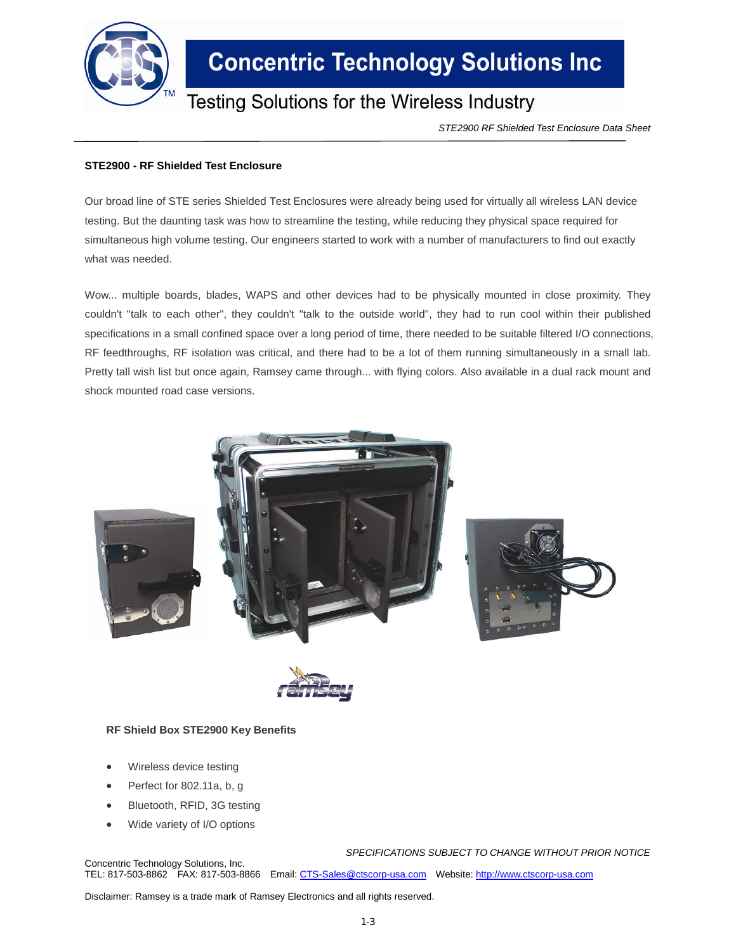

## **Concentric Technology Solutions Inc**

### Testing Solutions for the Wireless Industry

*STE2900 RF Shielded Test Enclosure Data Sheet*

#### **STE2900 - RF Shielded Test Enclosure**

Our broad line of STE series Shielded Test Enclosures were already being used for virtually all wireless LAN device testing. But the daunting task was how to streamline the testing, while reducing they physical space required for simultaneous high volume testing. Our engineers started to work with a number of manufacturers to find out exactly what was needed.

Wow... multiple boards, blades, WAPS and other devices had to be physically mounted in close proximity. They couldn't "talk to each other", they couldn't "talk to the outside world", they had to run cool within their published specifications in a small confined space over a long period of time, there needed to be suitable filtered I/O connections, RF feedthroughs, RF isolation was critical, and there had to be a lot of them running simultaneously in a small lab. Pretty tall wish list but once again, Ramsey came through... with flying colors. Also available in a dual rack mount and shock mounted road case versions.





#### **RF Shield Box STE2900 Key Benefits**

- Wireless device testing
- Perfect for 802.11a, b, g
- Bluetooth, RFID, 3G testing
- Wide variety of I/O options

*SPECIFICATIONS SUBJECT TO CHANGE WITHOUT PRIOR NOTICE* Concentric Technology Solutions, Inc. TEL: 817-503-8862 FAX: 817-503-8866 Email: CTS-Sales@ctscorp-usa.com Website: http://www.ctscorp-usa.com

Disclaimer: Ramsey is a trade mark of Ramsey Electronics and all rights reserved.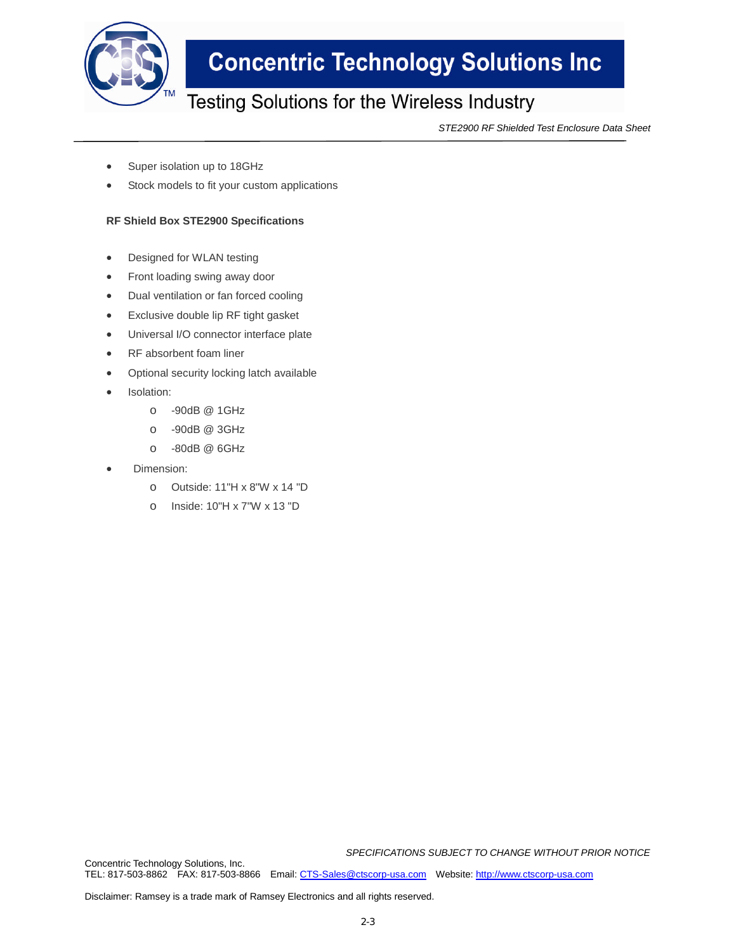

## **Concentric Technology Solutions Inc**

### Testing Solutions for the Wireless Industry

*STE2900 RF Shielded Test Enclosure Data Sheet*

- Super isolation up to 18GHz
- Stock models to fit your custom applications

#### **RF Shield Box STE2900 Specifications**

- Designed for WLAN testing
- Front loading swing away door
- Dual ventilation or fan forced cooling
- Exclusive double lip RF tight gasket
- Universal I/O connector interface plate
- RF absorbent foam liner
- Optional security locking latch available
- Isolation:
	- o -90dB @ 1GHz
	- o -90dB @ 3GHz
	- o -80dB @ 6GHz
- Dimension:
	- o Outside: 11"H x 8"W x 14 "D
	- o Inside: 10"H x 7"W x 13 "D

*SPECIFICATIONS SUBJECT TO CHANGE WITHOUT PRIOR NOTICE*

Concentric Technology Solutions, Inc. TEL: 817-503-8862 FAX: 817-503-8866 Email: CTS-Sales@ctscorp-usa.com Website: http://www.ctscorp-usa.com

Disclaimer: Ramsey is a trade mark of Ramsey Electronics and all rights reserved.